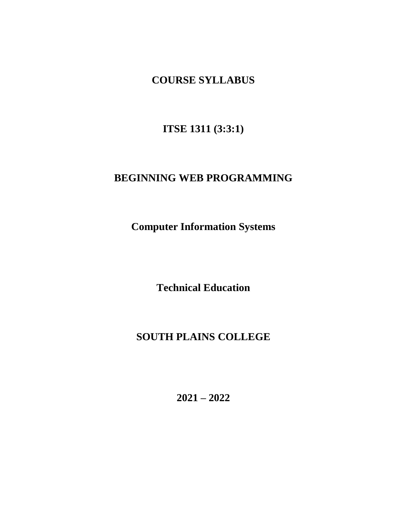**COURSE SYLLABUS**

**ITSE 1311 (3:3:1)**

# **BEGINNING WEB PROGRAMMING**

**Computer Information Systems**

**Technical Education**

# **SOUTH PLAINS COLLEGE**

**2021 – 2022**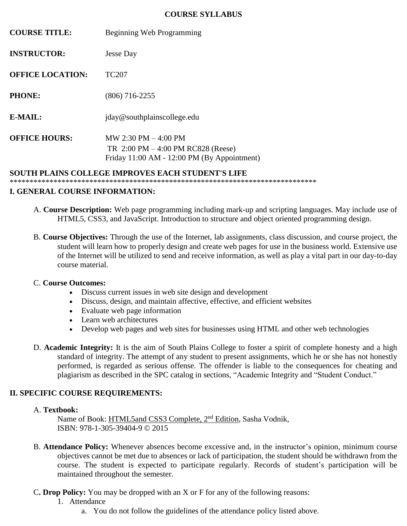#### **COURSE SYLLABUS**

| <b>COURSE TITLE:</b>                              | Beginning Web Programming                                                                                                            |
|---------------------------------------------------|--------------------------------------------------------------------------------------------------------------------------------------|
| <b>INSTRUCTOR:</b>                                | Jesse Day                                                                                                                            |
| <b>OFFICE LOCATION:</b>                           | TC <sub>207</sub>                                                                                                                    |
| <b>PHONE:</b>                                     | $(806)$ 716-2255                                                                                                                     |
| E-MAIL:                                           | jday@southplainscollege.edu                                                                                                          |
| <b>OFFICE HOURS:</b>                              | MW 2:30 PM $-4:00$ PM<br>TR $2:00 \text{ PM} - 4:00 \text{ PM RC}828 \text{ (Reese)}$<br>Friday 11:00 AM - 12:00 PM (By Appointment) |
| SOUTH PLAINS COLLEGE IMPROVES EACH STUDENT'S LIFE |                                                                                                                                      |

\*\*\*\*\*\*\*\*\*\*\*\*\*\*\*\*\*\*\*\*\*\*\*\*\*\*\*\*\*\*\*\*\*\*\*\*\*\*\*\*\*\*\*\*\*\*\*\*\*\*\*\*\*\*\*\*\*\*\*\*\*\*\*\*\*\*\*\*\*\*\*\*\*\*\*\*\*

#### **I. GENERAL COURSE INFORMATION:**

- A. **Course Description:** Web page programming including mark-up and scripting languages. May include use of HTML5, CSS3, and JavaScript. Introduction to structure and object oriented programming design.
- B. **Course Objectives:** Through the use of the Internet, lab assignments, class discussion, and course project, the student will learn how to properly design and create web pages for use in the business world. Extensive use of the Internet will be utilized to send and receive information, as well as play a vital part in our day-to-day course material.

#### C. **Course Outcomes:**

- Discuss current issues in web site design and development
- Discuss, design, and maintain affective, effective, and efficient websites
- Evaluate web page information
- Learn web architectures
- Develop web pages and web sites for businesses using HTML and other web technologies
- D. **Academic Integrity:** It is the aim of South Plains College to foster a spirit of complete honesty and a high standard of integrity. The attempt of any student to present assignments, which he or she has not honestly performed, is regarded as serious offense. The offender is liable to the consequences for cheating and plagiarism as described in the SPC catalog in sections, "Academic Integrity and "Student Conduct."

### **II. SPECIFIC COURSE REQUIREMENTS:**

#### A. **Textbook:**

Name of Book: HTML5and CSS3 Complete, 2<sup>nd</sup> Edition, Sasha Vodnik, ISBN: 978-1-305-39404-9 © 2015

- B. **Attendance Policy:** Whenever absences become excessive and, in the instructor's opinion, minimum course objectives cannot be met due to absences or lack of participation, the student should be withdrawn from the course. The student is expected to participate regularly. Records of student's participation will be maintained throughout the semester.
- C**. Drop Policy:** You may be dropped with an X or F for any of the following reasons:
	- 1. Attendance
		- a. You do not follow the guidelines of the attendance policy listed above.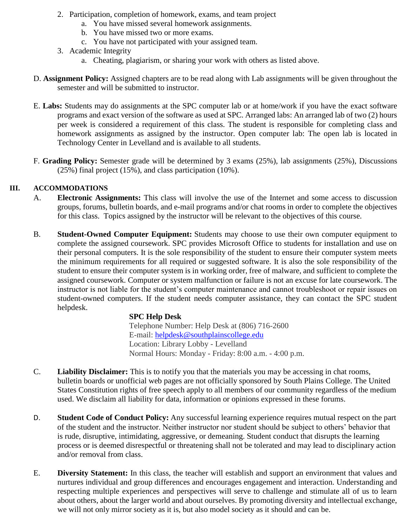- 2. Participation, completion of homework, exams, and team project
	- a. You have missed several homework assignments.
	- b. You have missed two or more exams.
	- c. You have not participated with your assigned team.
- 3. Academic Integrity
	- a. Cheating, plagiarism, or sharing your work with others as listed above.
- D. **Assignment Policy:** Assigned chapters are to be read along with Lab assignments will be given throughout the semester and will be submitted to instructor.
- E. **Labs:** Students may do assignments at the SPC computer lab or at home/work if you have the exact software programs and exact version of the software as used at SPC. Arranged labs: An arranged lab of two (2) hours per week is considered a requirement of this class. The student is responsible for completing class and homework assignments as assigned by the instructor. Open computer lab: The open lab is located in Technology Center in Levelland and is available to all students.
- F. **Grading Policy:** Semester grade will be determined by 3 exams (25%), lab assignments (25%), Discussions (25%) final project (15%), and class participation (10%).

### **III. ACCOMMODATIONS**

- A. **Electronic Assignments:** This class will involve the use of the Internet and some access to discussion groups, forums, bulletin boards, and e-mail programs and/or chat rooms in order to complete the objectives for this class. Topics assigned by the instructor will be relevant to the objectives of this course.
- B. **Student-Owned Computer Equipment:** Students may choose to use their own computer equipment to complete the assigned coursework. SPC provides Microsoft Office to students for installation and use on their personal computers. It is the sole responsibility of the student to ensure their computer system meets the minimum requirements for all required or suggested software. It is also the sole responsibility of the student to ensure their computer system is in working order, free of malware, and sufficient to complete the assigned coursework. Computer or system malfunction or failure is not an excuse for late coursework. The instructor is not liable for the student's computer maintenance and cannot troubleshoot or repair issues on student-owned computers. If the student needs computer assistance, they can contact the SPC student helpdesk.

### **SPC Help Desk**

Telephone Number: Help Desk at (806) 716-2600 E-mail: [helpdesk@southplainscollege.edu](mailto:helpdesk@southplainscollege.edu) Location: Library Lobby - Levelland Normal Hours: Monday - Friday: 8:00 a.m. - 4:00 p.m.

- C. **Liability Disclaimer:** This is to notify you that the materials you may be accessing in chat rooms, bulletin boards or unofficial web pages are not officially sponsored by South Plains College. The United States Constitution rights of free speech apply to all members of our community regardless of the medium used. We disclaim all liability for data, information or opinions expressed in these forums.
- D. **Student Code of Conduct Policy:** Any successful learning experience requires mutual respect on the part of the student and the instructor. Neither instructor nor student should be subject to others' behavior that is rude, disruptive, intimidating, aggressive, or demeaning. Student conduct that disrupts the learning process or is deemed disrespectful or threatening shall not be tolerated and may lead to disciplinary action and/or removal from class.
- E. **Diversity Statement:** In this class, the teacher will establish and support an environment that values and nurtures individual and group differences and encourages engagement and interaction. Understanding and respecting multiple experiences and perspectives will serve to challenge and stimulate all of us to learn about others, about the larger world and about ourselves. By promoting diversity and intellectual exchange, we will not only mirror society as it is, but also model society as it should and can be.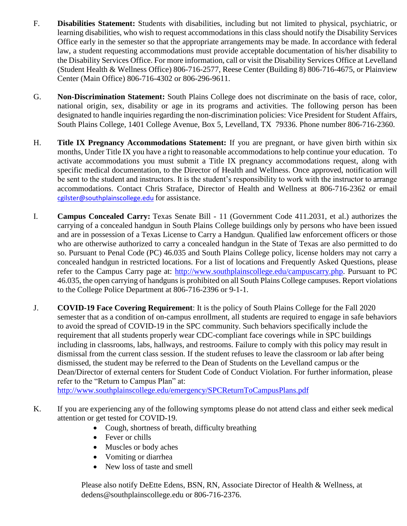- F. **Disabilities Statement:** Students with disabilities, including but not limited to physical, psychiatric, or learning disabilities, who wish to request accommodations in this class should notify the Disability Services Office early in the semester so that the appropriate arrangements may be made. In accordance with federal law, a student requesting accommodations must provide acceptable documentation of his/her disability to the Disability Services Office. For more information, call or visit the Disability Services Office at Levelland (Student Health & Wellness Office) 806-716-2577, Reese Center (Building 8) 806-716-4675, or Plainview Center (Main Office) 806-716-4302 or 806-296-9611.
- G. **Non-Discrimination Statement:** South Plains College does not discriminate on the basis of race, color, national origin, sex, disability or age in its programs and activities. The following person has been designated to handle inquiries regarding the non-discrimination policies: Vice President for Student Affairs, South Plains College, 1401 College Avenue, Box 5, Levelland, TX 79336. Phone number 806-716-2360.
- H. **Title IX Pregnancy Accommodations Statement:** If you are pregnant, or have given birth within six months, Under Title IX you have a right to reasonable accommodations to help continue your education. To activate accommodations you must submit a Title IX pregnancy accommodations request, along with specific medical documentation, to the Director of Health and Wellness. Once approved, notification will be sent to the student and instructors. It is the student's responsibility to work with the instructor to arrange accommodations. Contact Chris Straface, Director of Health and Wellness at 806-716-2362 or email [cgilster@southplainscollege.edu](mailto:cgilster@southplainscollege.edu) for assistance.
- I. **Campus Concealed Carry:** Texas Senate Bill 11 (Government Code 411.2031, et al.) authorizes the carrying of a concealed handgun in South Plains College buildings only by persons who have been issued and are in possession of a Texas License to Carry a Handgun. Qualified law enforcement officers or those who are otherwise authorized to carry a concealed handgun in the State of Texas are also permitted to do so. Pursuant to Penal Code (PC) 46.035 and South Plains College policy, license holders may not carry a concealed handgun in restricted locations. For a list of locations and Frequently Asked Questions, please refer to the Campus Carry page at: [http://www.southplainscollege.edu/campuscarry.php.](http://www.southplainscollege.edu/campuscarry.php) Pursuant to PC 46.035, the open carrying of handguns is prohibited on all South Plains College campuses. Report violations to the College Police Department at 806-716-2396 or 9-1-1.
- J. **COVID-19 Face Covering Requirement**: It is the policy of South Plains College for the Fall 2020 semester that as a condition of on-campus enrollment, all students are required to engage in safe behaviors to avoid the spread of COVID-19 in the SPC community. Such behaviors specifically include the requirement that all students properly wear CDC-compliant face coverings while in SPC buildings including in classrooms, labs, hallways, and restrooms. Failure to comply with this policy may result in dismissal from the current class session. If the student refuses to leave the classroom or lab after being dismissed, the student may be referred to the Dean of Students on the Levelland campus or the Dean/Director of external centers for Student Code of Conduct Violation. For further information, please refer to the "Return to Campus Plan" at:

<http://www.southplainscollege.edu/emergency/SPCReturnToCampusPlans.pdf>

- K. If you are experiencing any of the following symptoms please do not attend class and either seek medical attention or get tested for COVID-19.
	- Cough, shortness of breath, difficulty breathing
	- Fever or chills
	- Muscles or body aches
	- Vomiting or diarrhea
	- New loss of taste and smell

Please also notify DeEtte Edens, BSN, RN, Associate Director of Health & Wellness, at dedens@southplainscollege.edu or 806-716-2376.